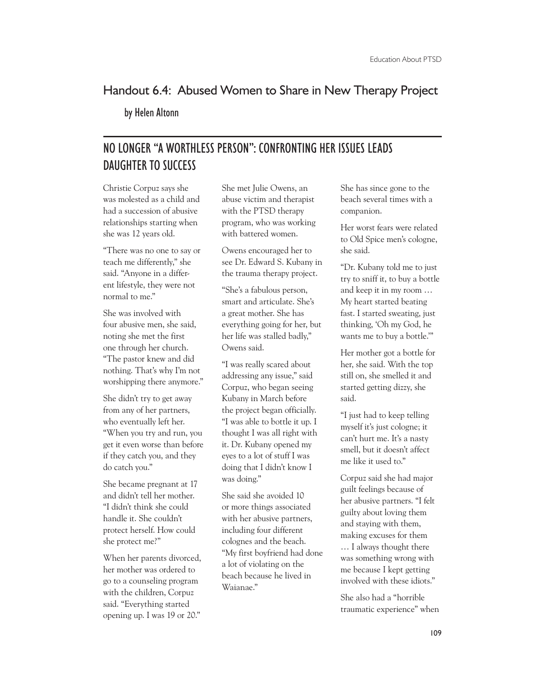## Handout 6.4: Abused Women to Share in New Therapy Project

by Helen Altonn

## NO LONGER "A WORTHLESS PERSON": CONFRONTING HER ISSUES LEADS DAUGHTER TO SUCCESS

Christie Corpuz says she was molested as a child and had a succession of abusive relationships starting when she was 12 years old.

"There was no one to say or teach me differently," she said. "Anyone in a different lifestyle, they were not normal to me."

She was involved with four abusive men, she said, noting she met the first one through her church. "The pastor knew and did nothing. That's why I'm not worshipping there anymore."

She didn't try to get away from any of her partners, who eventually left her. "When you try and run, you get it even worse than before if they catch you, and they do catch you."

She became pregnant at 17 and didn't tell her mother. "I didn't think she could handle it. She couldn't protect herself. How could she protect me?"

When her parents divorced, her mother was ordered to go to a counseling program with the children, Corpuz said. "Everything started opening up. I was 19 or 20."

She met Julie Owens, an abuse victim and therapist with the PTSD therapy program, who was working with battered women.

Owens encouraged her to see Dr. Edward S. Kubany in the trauma therapy project.

"She's a fabulous person, smart and articulate. She's a great mother. She has everything going for her, but her life was stalled badly," Owens said.

"I was really scared about addressing any issue," said Corpuz, who began seeing Kubany in March before the project began officially. "I was able to bottle it up. I thought I was all right with it. Dr. Kubany opened my eyes to a lot of stuff I was doing that I didn't know I was doing."

She said she avoided 10 or more things associated with her abusive partners, including four different colognes and the beach. "My first boyfriend had done a lot of violating on the beach because he lived in Waianae."

She has since gone to the beach several times with a companion.

Her worst fears were related to Old Spice men's cologne, she said.

"Dr. Kubany told me to just try to sniff it, to buy a bottle and keep it in my room … My heart started beating fast. I started sweating, just thinking, 'Oh my God, he wants me to buy a bottle.'"

Her mother got a bottle for her, she said. With the top still on, she smelled it and started getting dizzy, she said.

"I just had to keep telling myself it's just cologne; it can't hurt me. It's a nasty smell, but it doesn't affect me like it used to."

Corpuz said she had major guilt feelings because of her abusive partners. "I felt guilty about loving them and staying with them, making excuses for them … I always thought there was something wrong with me because I kept getting involved with these idiots."

She also had a "horrible traumatic experience" when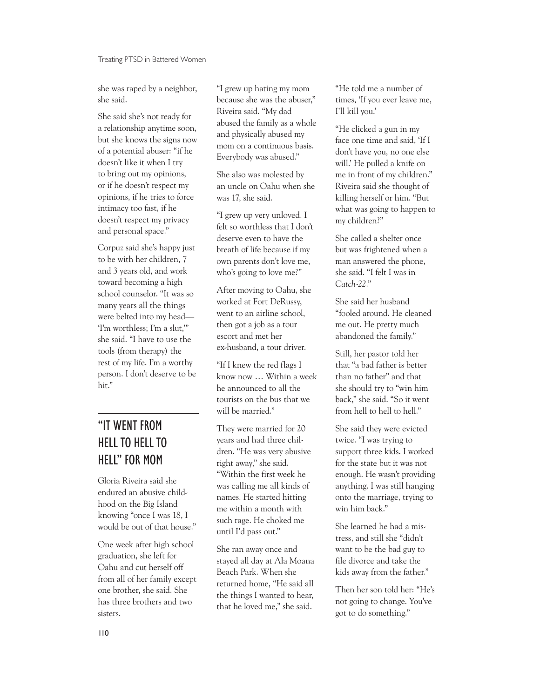she was raped by a neighbor, she said.

She said she's not ready for a relationship anytime soon, but she knows the signs now of a potential abuser: "if he doesn't like it when I try to bring out my opinions, or if he doesn't respect my opinions, if he tries to force intimacy too fast, if he doesn't respect my privacy and personal space."

Corpuz said she's happy just to be with her children, 7 and 3 years old, and work toward becoming a high school counselor. "It was so many years all the things were belted into my head— 'I'm worthless; I'm a slut,'" she said. "I have to use the tools (from therapy) the rest of my life. I'm a worthy person. I don't deserve to be hit."

## "IT WENT FROM HELL TO HELL TO HELL" FOR MOM

Gloria Riveira said she endured an abusive childhood on the Big Island knowing "once I was 18, I would be out of that house."

One week after high school graduation, she left for Oahu and cut herself off from all of her family except one brother, she said. She has three brothers and two sisters.

"I grew up hating my mom because she was the abuser," Riveira said. "My dad abused the family as a whole and physically abused my mom on a continuous basis. Everybody was abused."

She also was molested by an uncle on Oahu when she was 17, she said.

"I grew up very unloved. I felt so worthless that I don't deserve even to have the breath of life because if my own parents don't love me, who's going to love me?"

After moving to Oahu, she worked at Fort DeRussy, went to an airline school, then got a job as a tour escort and met her ex-husband, a tour driver.

"If I knew the red flags I know now … Within a week he announced to all the tourists on the bus that we will be married."

They were married for 20 years and had three children. "He was very abusive right away," she said. "Within the first week he was calling me all kinds of names. He started hitting me within a month with such rage. He choked me until I'd pass out."

She ran away once and stayed all day at Ala Moana Beach Park. When she returned home, "He said all the things I wanted to hear, that he loved me," she said.

"He told me a number of times, 'If you ever leave me, I'll kill you.'

"He clicked a gun in my face one time and said, 'If I don't have you, no one else will.' He pulled a knife on me in front of my children." Riveira said she thought of killing herself or him. "But what was going to happen to my children?"

She called a shelter once but was frightened when a man answered the phone, she said. "I felt I was in *Catch-22*."

She said her husband "fooled around. He cleaned me out. He pretty much abandoned the family."

Still, her pastor told her that "a bad father is better than no father" and that she should try to "win him back," she said. "So it went from hell to hell to hell."

She said they were evicted twice. "I was trying to support three kids. I worked for the state but it was not enough. He wasn't providing anything. I was still hanging onto the marriage, trying to win him back."

She learned he had a mistress, and still she "didn't want to be the bad guy to file divorce and take the kids away from the father."

Then her son told her: "He's not going to change. You've got to do something."